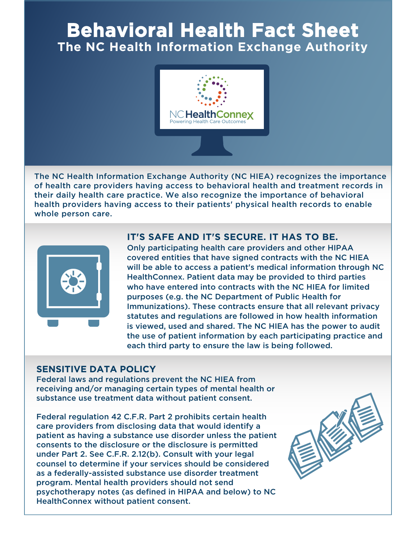# **Behavioral Health Fact Sheet The NC Health Information Exchange Authority**



The NC Health Information Exchange Authority (NC HIEA) recognizes the importance of health care providers having access to behavioral health and treatment records in their daily health care practice. We also recognize the importance of behavioral health providers having access to their patients' physical health records to enable whole person care.



## **IT'S SAFE AND IT'S SECURE. IT HAS TO BE.**

Only participating health care providers and other HIPAA covered entities that have signed contracts with the NC HIEA will be able to access a patient's medical information through NC HealthConnex. Patient data may be provided to third parties who have entered into contracts with the NC HIEA for limited purposes (e.g. the NC Department of Public Health for Immunizations). These contracts ensure that all relevant privacy statutes and regulations are followed in how health information is viewed, used and shared. The NC HIEA has the power to audit the use of patient information by each participating practice and each third party to ensure the law is being followed.

#### **SENSITIVE DATA POLICY**

Federal laws and regulations prevent the NC HIEA from receiving and/or managing certain types of mental health or substance use treatment data without patient consent.

Federal regulation 42 C.F.R. Part 2 prohibits certain health care providers from disclosing data that would identify a patient as having a substance use disorder unless the patient consents to the disclosure or the disclosure is permitted under Part 2. See C.F.R. 2.12(b). Consult with your legal counsel to determine if your services should be considered as a federally-assisted substance use disorder treatment program. Mental health providers should not send psychotherapy notes (as defined in HIPAA and below) to NC HealthConnex without patient consent.

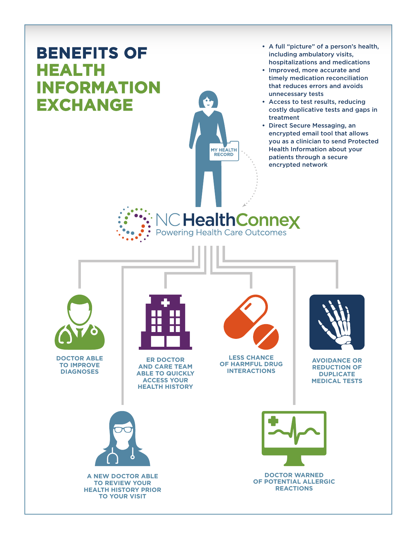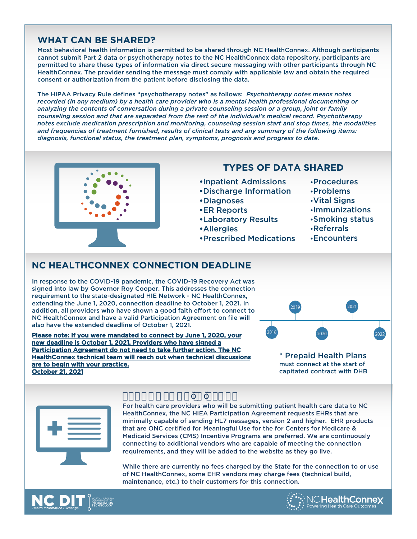#### **WHAT CAN BE SHARED?**

Most behavioral health information is permitted to be shared through NC HealthConnex. Although participants cannot submit Part 2 data or psychotherapy notes to the NC HealthConnex data repository, participants are permitted to share these types of information via direct secure messaging with other participants through NC HealthConnex. The provider sending the message must comply with applicable law and obtain the required consent or authorization from the patient before disclosing the data.

The HIPAA Privacy Rule defines "psychotherapy notes" as follows: *Psychotherapy notes means notes recorded (in any medium) by a health care provider who is a mental health professional documenting or analyzing the contents of conversation during a private counseling session or a group, joint or family counseling session and that are separated from the rest of the individual's medical record. Psychotherapy notes exclude medication prescription and monitoring, counseling session start and stop times, the modalities and frequencies of treatment furnished, results of clinical tests and any summary of the following items: diagnosis, functional status, the treatment plan, symptoms, prognosis and progress to date.*



## **TYPES OF DATA SHARED**

- **•**Inpatient Admissions
- **•**Discharge Information
- **•**Diagnoses
- **•**ER Reports
- **•**Laboratory Results
- **•**Allergies
- **•**Prescribed Medications
- **•**Procedures
- **•**Problems
- **•**Vital Signs
- **•**Immunizations
- **•**Smoking status
- **•**Referrals
- **•**Encounters

#### **NC HEALTHCONNEX CONNECTION DEADLINE**

In response to the COVID-19 pandemic, the COVID-19 Recovery Act was signed into law by Governor Roy Cooper. This addresses the connection requirement to the state-designated HIE Network - NC HealthConnex, extending the June 1, 2020, connection deadline to October 1, 2021. In addition, all providers who have shown a good faith effort to connect to NC HealthConnex and have a valid Participation Agreement on file will also have the extended deadline of October 1, 2021.

Please note: If you were mandated to connect by June 1, 2020, your new deadline is October 1, 2021. Providers who have signed a Participation Agreement do not need to take further action. The NC HealthConnex technical team will reach out when technical discussions are to begin with your practice. October 21, 2021



\* Prepaid Health Plans must connect at the start of capitated contract with DHB



# $8"$  |  $2zE^* + \tilde{Z}$ !  $k$   $n$

For health care providers who will be submitting patient health care data to NC HealthConnex, the NC HIEA Participation Agreement requests EHRs that are minimally capable of sending HL7 messages, version 2 and higher. EHR products that are ONC certified for Meaningful Use for the for Centers for Medicare & Medicaid Services (CMS) Incentive Programs are preferred. We are continuously connecting to additional vendors who are capable of meeting the connection requirements, and they will be added to the website as they go live.

While there are currently no fees charged by the State for the connection to or use of NC HealthConnex, some EHR vendors may charge fees (technical build, maintenance, etc.) to their customers for this connection.